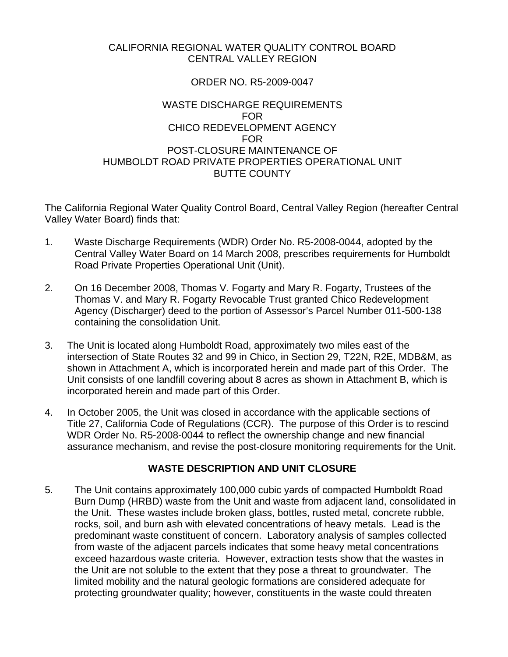### CALIFORNIA REGIONAL WATER QUALITY CONTROL BOARD CENTRAL VALLEY REGION

### ORDER NO. R5-2009-0047

### WASTE DISCHARGE REQUIREMENTS FOR CHICO REDEVELOPMENT AGENCY FOR POST-CLOSURE MAINTENANCE OF HUMBOLDT ROAD PRIVATE PROPERTIES OPERATIONAL UNIT BUTTE COUNTY

The California Regional Water Quality Control Board, Central Valley Region (hereafter Central Valley Water Board) finds that:

- 1. Waste Discharge Requirements (WDR) Order No. R5-2008-0044, adopted by the Central Valley Water Board on 14 March 2008, prescribes requirements for Humboldt Road Private Properties Operational Unit (Unit).
- 2. On 16 December 2008, Thomas V. Fogarty and Mary R. Fogarty, Trustees of the Thomas V. and Mary R. Fogarty Revocable Trust granted Chico Redevelopment Agency (Discharger) deed to the portion of Assessor's Parcel Number 011-500-138 containing the consolidation Unit.
- 3. The Unit is located along Humboldt Road, approximately two miles east of the intersection of State Routes 32 and 99 in Chico, in Section 29, T22N, R2E, MDB&M, as shown in Attachment A, which is incorporated herein and made part of this Order. The Unit consists of one landfill covering about 8 acres as shown in Attachment B, which is incorporated herein and made part of this Order.
- 4. In October 2005, the Unit was closed in accordance with the applicable sections of Title 27, California Code of Regulations (CCR). The purpose of this Order is to rescind WDR Order No. R5-2008-0044 to reflect the ownership change and new financial assurance mechanism, and revise the post-closure monitoring requirements for the Unit.

# **WASTE DESCRIPTION AND UNIT CLOSURE**

5. The Unit contains approximately 100,000 cubic yards of compacted Humboldt Road Burn Dump (HRBD) waste from the Unit and waste from adjacent land, consolidated in the Unit. These wastes include broken glass, bottles, rusted metal, concrete rubble, rocks, soil, and burn ash with elevated concentrations of heavy metals. Lead is the predominant waste constituent of concern. Laboratory analysis of samples collected from waste of the adjacent parcels indicates that some heavy metal concentrations exceed hazardous waste criteria. However, extraction tests show that the wastes in the Unit are not soluble to the extent that they pose a threat to groundwater. The limited mobility and the natural geologic formations are considered adequate for protecting groundwater quality; however, constituents in the waste could threaten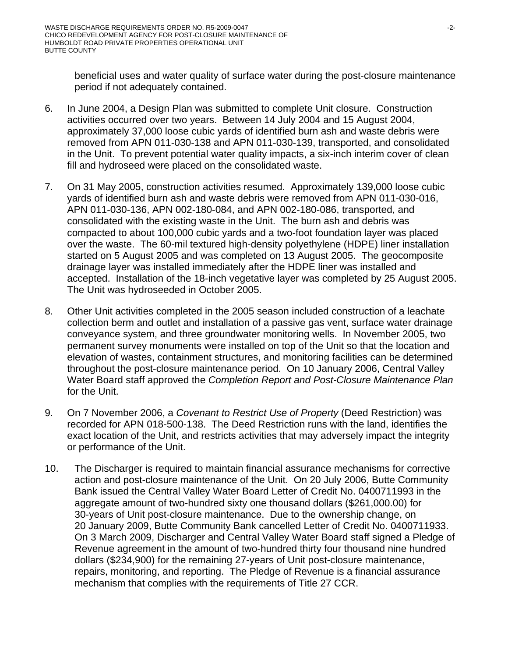beneficial uses and water quality of surface water during the post-closure maintenance period if not adequately contained.

- 6. In June 2004, a Design Plan was submitted to complete Unit closure. Construction activities occurred over two years. Between 14 July 2004 and 15 August 2004, approximately 37,000 loose cubic yards of identified burn ash and waste debris were removed from APN 011-030-138 and APN 011-030-139, transported, and consolidated in the Unit. To prevent potential water quality impacts, a six-inch interim cover of clean fill and hydroseed were placed on the consolidated waste.
- 7. On 31 May 2005, construction activities resumed. Approximately 139,000 loose cubic yards of identified burn ash and waste debris were removed from APN 011-030-016, APN 011-030-136, APN 002-180-084, and APN 002-180-086, transported, and consolidated with the existing waste in the Unit. The burn ash and debris was compacted to about 100,000 cubic yards and a two-foot foundation layer was placed over the waste. The 60-mil textured high-density polyethylene (HDPE) liner installation started on 5 August 2005 and was completed on 13 August 2005. The geocomposite drainage layer was installed immediately after the HDPE liner was installed and accepted. Installation of the 18-inch vegetative layer was completed by 25 August 2005. The Unit was hydroseeded in October 2005.
- 8. Other Unit activities completed in the 2005 season included construction of a leachate collection berm and outlet and installation of a passive gas vent, surface water drainage conveyance system, and three groundwater monitoring wells. In November 2005, two permanent survey monuments were installed on top of the Unit so that the location and elevation of wastes, containment structures, and monitoring facilities can be determined throughout the post-closure maintenance period. On 10 January 2006, Central Valley Water Board staff approved the *Completion Report and Post-Closure Maintenance Plan*  for the Unit.
- 9. On 7 November 2006, a *Covenant to Restrict Use of Property* (Deed Restriction) was recorded for APN 018-500-138. The Deed Restriction runs with the land, identifies the exact location of the Unit, and restricts activities that may adversely impact the integrity or performance of the Unit.
- 10. The Discharger is required to maintain financial assurance mechanisms for corrective action and post-closure maintenance of the Unit. On 20 July 2006, Butte Community Bank issued the Central Valley Water Board Letter of Credit No. 0400711993 in the aggregate amount of two-hundred sixty one thousand dollars (\$261,000.00) for 30-years of Unit post-closure maintenance. Due to the ownership change, on 20 January 2009, Butte Community Bank cancelled Letter of Credit No. 0400711933. On 3 March 2009, Discharger and Central Valley Water Board staff signed a Pledge of Revenue agreement in the amount of two-hundred thirty four thousand nine hundred dollars (\$234,900) for the remaining 27-years of Unit post-closure maintenance, repairs, monitoring, and reporting. The Pledge of Revenue is a financial assurance mechanism that complies with the requirements of Title 27 CCR.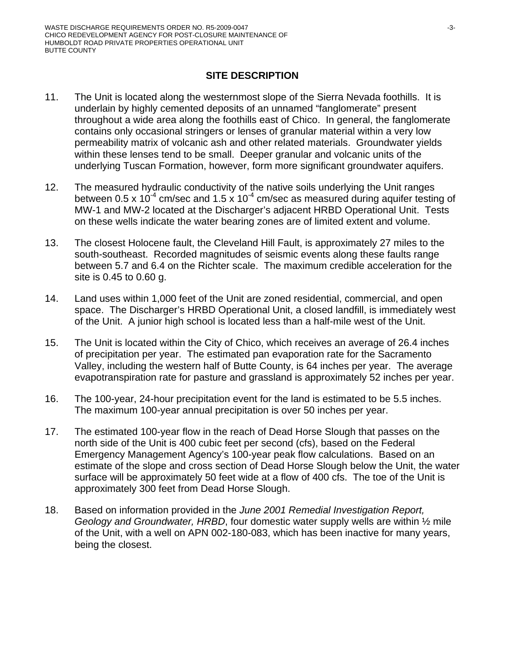## **SITE DESCRIPTION**

- 11. The Unit is located along the westernmost slope of the Sierra Nevada foothills. It is underlain by highly cemented deposits of an unnamed "fanglomerate" present throughout a wide area along the foothills east of Chico. In general, the fanglomerate contains only occasional stringers or lenses of granular material within a very low permeability matrix of volcanic ash and other related materials. Groundwater yields within these lenses tend to be small. Deeper granular and volcanic units of the underlying Tuscan Formation, however, form more significant groundwater aquifers.
- 12. The measured hydraulic conductivity of the native soils underlying the Unit ranges between 0.5 x 10<sup>-4</sup> cm/sec and 1.5 x 10<sup>-4</sup> cm/sec as measured during aquifer testing of MW-1 and MW-2 located at the Discharger's adjacent HRBD Operational Unit. Tests on these wells indicate the water bearing zones are of limited extent and volume.
- 13. The closest Holocene fault, the Cleveland Hill Fault, is approximately 27 miles to the south-southeast. Recorded magnitudes of seismic events along these faults range between 5.7 and 6.4 on the Richter scale. The maximum credible acceleration for the site is 0.45 to 0.60 g.
- 14. Land uses within 1,000 feet of the Unit are zoned residential, commercial, and open space. The Discharger's HRBD Operational Unit, a closed landfill, is immediately west of the Unit. A junior high school is located less than a half-mile west of the Unit.
- 15. The Unit is located within the City of Chico, which receives an average of 26.4 inches of precipitation per year. The estimated pan evaporation rate for the Sacramento Valley, including the western half of Butte County, is 64 inches per year. The average evapotranspiration rate for pasture and grassland is approximately 52 inches per year.
- 16. The 100-year, 24-hour precipitation event for the land is estimated to be 5.5 inches. The maximum 100-year annual precipitation is over 50 inches per year.
- 17. The estimated 100-year flow in the reach of Dead Horse Slough that passes on the north side of the Unit is 400 cubic feet per second (cfs), based on the Federal Emergency Management Agency's 100-year peak flow calculations. Based on an estimate of the slope and cross section of Dead Horse Slough below the Unit, the water surface will be approximately 50 feet wide at a flow of 400 cfs. The toe of the Unit is approximately 300 feet from Dead Horse Slough.
- 18. Based on information provided in the *June 2001 Remedial Investigation Report, Geology and Groundwater, HRBD*, four domestic water supply wells are within ½ mile of the Unit, with a well on APN 002-180-083, which has been inactive for many years, being the closest.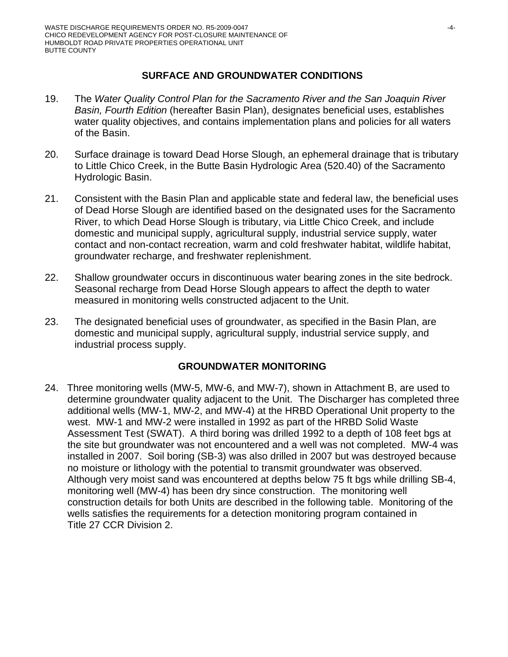## **SURFACE AND GROUNDWATER CONDITIONS**

- 19. The *Water Quality Control Plan for the Sacramento River and the San Joaquin River Basin, Fourth Edition* (hereafter Basin Plan), designates beneficial uses, establishes water quality objectives, and contains implementation plans and policies for all waters of the Basin.
- 20. Surface drainage is toward Dead Horse Slough, an ephemeral drainage that is tributary to Little Chico Creek, in the Butte Basin Hydrologic Area (520.40) of the Sacramento Hydrologic Basin.
- 21. Consistent with the Basin Plan and applicable state and federal law, the beneficial uses of Dead Horse Slough are identified based on the designated uses for the Sacramento River, to which Dead Horse Slough is tributary, via Little Chico Creek, and include domestic and municipal supply, agricultural supply, industrial service supply, water contact and non-contact recreation, warm and cold freshwater habitat, wildlife habitat, groundwater recharge, and freshwater replenishment.
- 22. Shallow groundwater occurs in discontinuous water bearing zones in the site bedrock. Seasonal recharge from Dead Horse Slough appears to affect the depth to water measured in monitoring wells constructed adjacent to the Unit.
- 23. The designated beneficial uses of groundwater, as specified in the Basin Plan, are domestic and municipal supply, agricultural supply, industrial service supply, and industrial process supply.

### **GROUNDWATER MONITORING**

24. Three monitoring wells (MW-5, MW-6, and MW-7), shown in Attachment B, are used to determine groundwater quality adjacent to the Unit. The Discharger has completed three additional wells (MW-1, MW-2, and MW-4) at the HRBD Operational Unit property to the west. MW-1 and MW-2 were installed in 1992 as part of the HRBD Solid Waste Assessment Test (SWAT). A third boring was drilled 1992 to a depth of 108 feet bgs at the site but groundwater was not encountered and a well was not completed. MW-4 was installed in 2007. Soil boring (SB-3) was also drilled in 2007 but was destroyed because no moisture or lithology with the potential to transmit groundwater was observed. Although very moist sand was encountered at depths below 75 ft bgs while drilling SB-4, monitoring well (MW-4) has been dry since construction. The monitoring well construction details for both Units are described in the following table. Monitoring of the wells satisfies the requirements for a detection monitoring program contained in Title 27 CCR Division 2.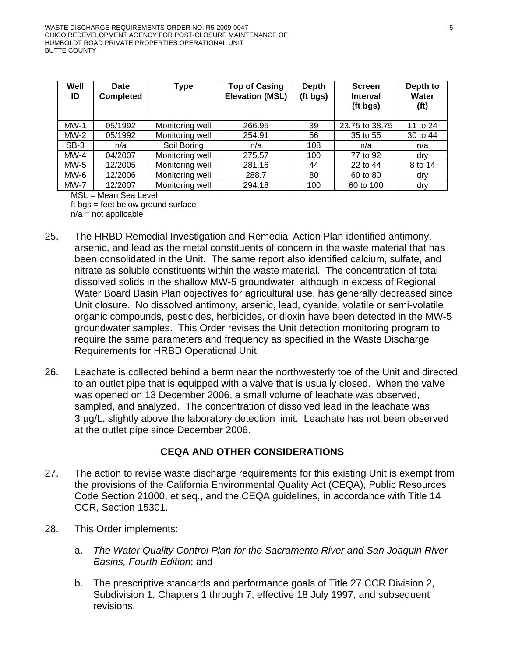| Well<br>ID  | <b>Date</b><br><b>Completed</b> | Type            | <b>Top of Casing</b><br><b>Elevation (MSL)</b> | <b>Depth</b><br>(ft bgs) | <b>Screen</b><br><b>Interval</b><br>(ft bgs) | Depth to<br>Water<br>(f <sup>t</sup> ) |
|-------------|---------------------------------|-----------------|------------------------------------------------|--------------------------|----------------------------------------------|----------------------------------------|
| $MW-1$      | 05/1992                         | Monitoring well | 266.95                                         | 39                       | 23.75 to 38.75                               | 11 to 24                               |
| MW-2        | 05/1992                         | Monitoring well | 254.91                                         | 56                       | 35 to 55                                     | 30 to 44                               |
| SB-3        | n/a                             | Soil Boring     | n/a                                            | 108                      | n/a                                          | n/a                                    |
| $MW-4$      | 04/2007                         | Monitoring well | 275.57                                         | 100                      | 77 to 92                                     | dry                                    |
| MW-5        | 12/2005                         | Monitoring well | 281.16                                         | 44                       | 22 to 44                                     | 8 to 14                                |
| MW-6        | 12/2006                         | Monitoring well | 288.7                                          | 80                       | 60 to 80                                     | dry                                    |
| <b>MW-7</b> | 12/2007                         | Monitoring well | 294.18                                         | 100                      | 60 to 100                                    | dry                                    |

MSL = Mean Sea Level

ft bgs = feet below ground surface  $n/a$  = not applicable

- 25. The HRBD Remedial Investigation and Remedial Action Plan identified antimony, arsenic, and lead as the metal constituents of concern in the waste material that has been consolidated in the Unit. The same report also identified calcium, sulfate, and nitrate as soluble constituents within the waste material. The concentration of total dissolved solids in the shallow MW-5 groundwater, although in excess of Regional Water Board Basin Plan objectives for agricultural use, has generally decreased since Unit closure. No dissolved antimony, arsenic, lead, cyanide, volatile or semi-volatile organic compounds, pesticides, herbicides, or dioxin have been detected in the MW-5 groundwater samples. This Order revises the Unit detection monitoring program to require the same parameters and frequency as specified in the Waste Discharge Requirements for HRBD Operational Unit.
- 26. Leachate is collected behind a berm near the northwesterly toe of the Unit and directed to an outlet pipe that is equipped with a valve that is usually closed. When the valve was opened on 13 December 2006, a small volume of leachate was observed, sampled, and analyzed. The concentration of dissolved lead in the leachate was 3 μg/L, slightly above the laboratory detection limit. Leachate has not been observed at the outlet pipe since December 2006.

### **CEQA AND OTHER CONSIDERATIONS**

- 27. The action to revise waste discharge requirements for this existing Unit is exempt from the provisions of the California Environmental Quality Act (CEQA), Public Resources Code Section 21000, et seq., and the CEQA guidelines, in accordance with Title 14 CCR, Section 15301.
- 28. This Order implements:
	- a. *The Water Quality Control Plan for the Sacramento River and San Joaquin River Basins, Fourth Edition*; and
	- b. The prescriptive standards and performance goals of Title 27 CCR Division 2, Subdivision 1, Chapters 1 through 7, effective 18 July 1997, and subsequent revisions.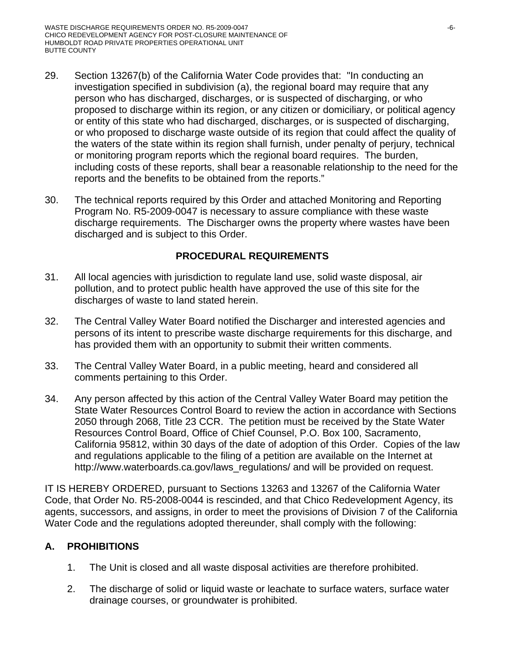- 29. Section 13267(b) of the California Water Code provides that: "In conducting an investigation specified in subdivision (a), the regional board may require that any person who has discharged, discharges, or is suspected of discharging, or who proposed to discharge within its region, or any citizen or domiciliary, or political agency or entity of this state who had discharged, discharges, or is suspected of discharging, or who proposed to discharge waste outside of its region that could affect the quality of the waters of the state within its region shall furnish, under penalty of perjury, technical or monitoring program reports which the regional board requires. The burden, including costs of these reports, shall bear a reasonable relationship to the need for the reports and the benefits to be obtained from the reports."
- 30. The technical reports required by this Order and attached Monitoring and Reporting Program No. R5-2009-0047 is necessary to assure compliance with these waste discharge requirements. The Discharger owns the property where wastes have been discharged and is subject to this Order.

# **PROCEDURAL REQUIREMENTS**

- 31. All local agencies with jurisdiction to regulate land use, solid waste disposal, air pollution, and to protect public health have approved the use of this site for the discharges of waste to land stated herein.
- 32. The Central Valley Water Board notified the Discharger and interested agencies and persons of its intent to prescribe waste discharge requirements for this discharge, and has provided them with an opportunity to submit their written comments.
- 33. The Central Valley Water Board, in a public meeting, heard and considered all comments pertaining to this Order.
- 34. Any person affected by this action of the Central Valley Water Board may petition the State Water Resources Control Board to review the action in accordance with Sections 2050 through 2068, Title 23 CCR. The petition must be received by the State Water Resources Control Board, Office of Chief Counsel, P.O. Box 100, Sacramento, California 95812, within 30 days of the date of adoption of this Order. Copies of the law and regulations applicable to the filing of a petition are available on the Internet at http://www.waterboards.ca.gov/laws\_regulations/ and will be provided on request.

IT IS HEREBY ORDERED, pursuant to Sections 13263 and 13267 of the California Water Code, that Order No. R5-2008-0044 is rescinded, and that Chico Redevelopment Agency, its agents, successors, and assigns, in order to meet the provisions of Division 7 of the California Water Code and the regulations adopted thereunder, shall comply with the following:

# **A. PROHIBITIONS**

- 1. The Unit is closed and all waste disposal activities are therefore prohibited.
- 2. The discharge of solid or liquid waste or leachate to surface waters, surface water drainage courses, or groundwater is prohibited.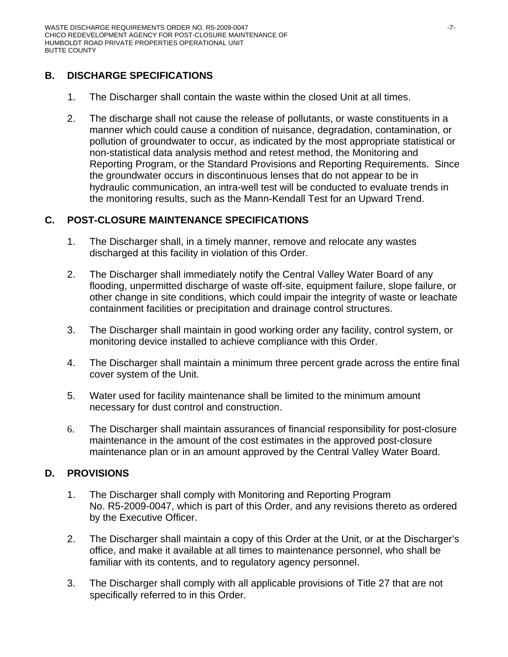# **B. DISCHARGE SPECIFICATIONS**

- 1. The Discharger shall contain the waste within the closed Unit at all times.
- 2. The discharge shall not cause the release of pollutants, or waste constituents in a manner which could cause a condition of nuisance, degradation, contamination, or pollution of groundwater to occur, as indicated by the most appropriate statistical or non-statistical data analysis method and retest method, the Monitoring and Reporting Program, or the Standard Provisions and Reporting Requirements. Since the groundwater occurs in discontinuous lenses that do not appear to be in hydraulic communication, an intra-well test will be conducted to evaluate trends in the monitoring results, such as the Mann-Kendall Test for an Upward Trend.

# **C. POST-CLOSURE MAINTENANCE SPECIFICATIONS**

- 1. The Discharger shall, in a timely manner, remove and relocate any wastes discharged at this facility in violation of this Order.
- 2. The Discharger shall immediately notify the Central Valley Water Board of any flooding, unpermitted discharge of waste off-site, equipment failure, slope failure, or other change in site conditions, which could impair the integrity of waste or leachate containment facilities or precipitation and drainage control structures.
- 3. The Discharger shall maintain in good working order any facility, control system, or monitoring device installed to achieve compliance with this Order.
- 4. The Discharger shall maintain a minimum three percent grade across the entire final cover system of the Unit.
- 5. Water used for facility maintenance shall be limited to the minimum amount necessary for dust control and construction.
- 6. The Discharger shall maintain assurances of financial responsibility for post-closure maintenance in the amount of the cost estimates in the approved post-closure maintenance plan or in an amount approved by the Central Valley Water Board.

# **D. PROVISIONS**

- 1. The Discharger shall comply with Monitoring and Reporting Program No. R5-2009-0047, which is part of this Order, and any revisions thereto as ordered by the Executive Officer.
- 2. The Discharger shall maintain a copy of this Order at the Unit, or at the Discharger's office, and make it available at all times to maintenance personnel, who shall be familiar with its contents, and to regulatory agency personnel.
- 3. The Discharger shall comply with all applicable provisions of Title 27 that are not specifically referred to in this Order.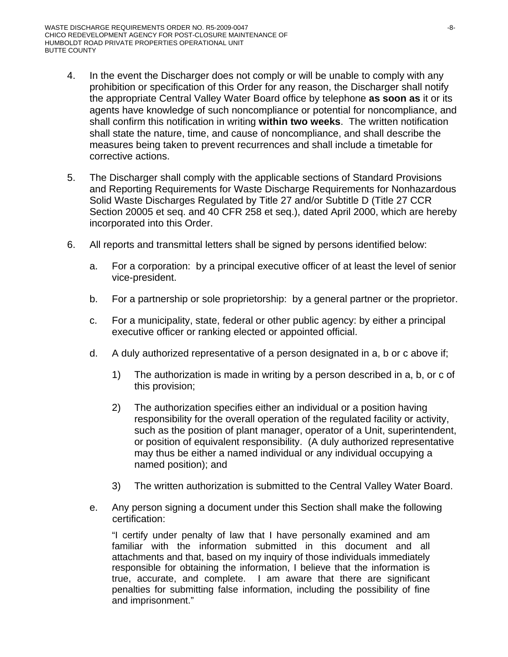- 4. In the event the Discharger does not comply or will be unable to comply with any prohibition or specification of this Order for any reason, the Discharger shall notify the appropriate Central Valley Water Board office by telephone **as soon as** it or its agents have knowledge of such noncompliance or potential for noncompliance, and shall confirm this notification in writing **within two weeks**. The written notification shall state the nature, time, and cause of noncompliance, and shall describe the measures being taken to prevent recurrences and shall include a timetable for corrective actions.
- 5. The Discharger shall comply with the applicable sections of Standard Provisions and Reporting Requirements for Waste Discharge Requirements for Nonhazardous Solid Waste Discharges Regulated by Title 27 and/or Subtitle D (Title 27 CCR Section 20005 et seq. and 40 CFR 258 et seq.), dated April 2000, which are hereby incorporated into this Order.
- 6. All reports and transmittal letters shall be signed by persons identified below:
	- a. For a corporation: by a principal executive officer of at least the level of senior vice-president.
	- b. For a partnership or sole proprietorship: by a general partner or the proprietor.
	- c. For a municipality, state, federal or other public agency: by either a principal executive officer or ranking elected or appointed official.
	- d. A duly authorized representative of a person designated in a, b or c above if;
		- 1) The authorization is made in writing by a person described in a, b, or c of this provision;
		- 2) The authorization specifies either an individual or a position having responsibility for the overall operation of the regulated facility or activity, such as the position of plant manager, operator of a Unit, superintendent, or position of equivalent responsibility. (A duly authorized representative may thus be either a named individual or any individual occupying a named position); and
		- 3) The written authorization is submitted to the Central Valley Water Board.
	- e. Any person signing a document under this Section shall make the following certification:

"I certify under penalty of law that I have personally examined and am familiar with the information submitted in this document and all attachments and that, based on my inquiry of those individuals immediately responsible for obtaining the information, I believe that the information is true, accurate, and complete. I am aware that there are significant penalties for submitting false information, including the possibility of fine and imprisonment."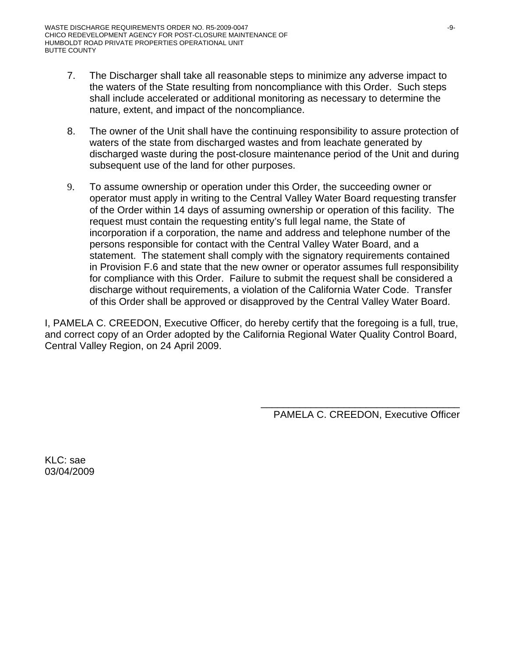- 7. The Discharger shall take all reasonable steps to minimize any adverse impact to the waters of the State resulting from noncompliance with this Order. Such steps shall include accelerated or additional monitoring as necessary to determine the nature, extent, and impact of the noncompliance.
- 8. The owner of the Unit shall have the continuing responsibility to assure protection of waters of the state from discharged wastes and from leachate generated by discharged waste during the post-closure maintenance period of the Unit and during subsequent use of the land for other purposes.
- 9. To assume ownership or operation under this Order, the succeeding owner or operator must apply in writing to the Central Valley Water Board requesting transfer of the Order within 14 days of assuming ownership or operation of this facility. The request must contain the requesting entity's full legal name, the State of incorporation if a corporation, the name and address and telephone number of the persons responsible for contact with the Central Valley Water Board, and a statement. The statement shall comply with the signatory requirements contained in Provision F.6 and state that the new owner or operator assumes full responsibility for compliance with this Order. Failure to submit the request shall be considered a discharge without requirements, a violation of the California Water Code. Transfer of this Order shall be approved or disapproved by the Central Valley Water Board.

I, PAMELA C. CREEDON, Executive Officer, do hereby certify that the foregoing is a full, true, and correct copy of an Order adopted by the California Regional Water Quality Control Board, Central Valley Region, on 24 April 2009.

> \_\_\_\_\_\_\_\_\_\_\_\_\_\_\_\_\_\_\_\_\_\_\_\_\_\_\_\_\_\_\_\_\_\_\_\_ PAMELA C. CREEDON, Executive Officer

KLC: sae 03/04/2009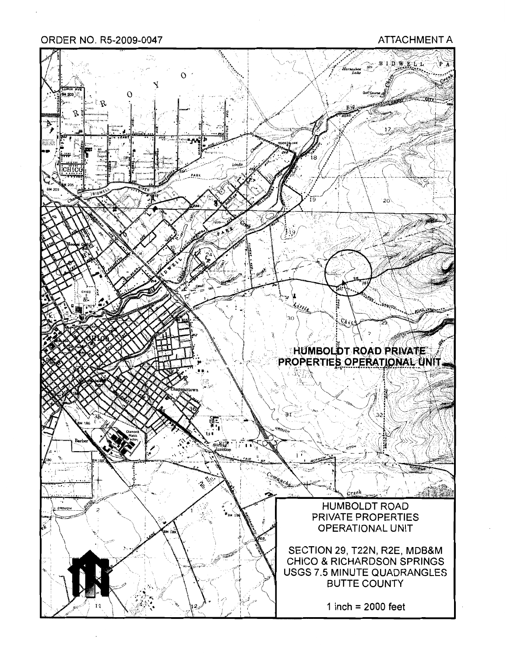ORDER NO. R5-2009-0047

#### **ATTACHMENT A**

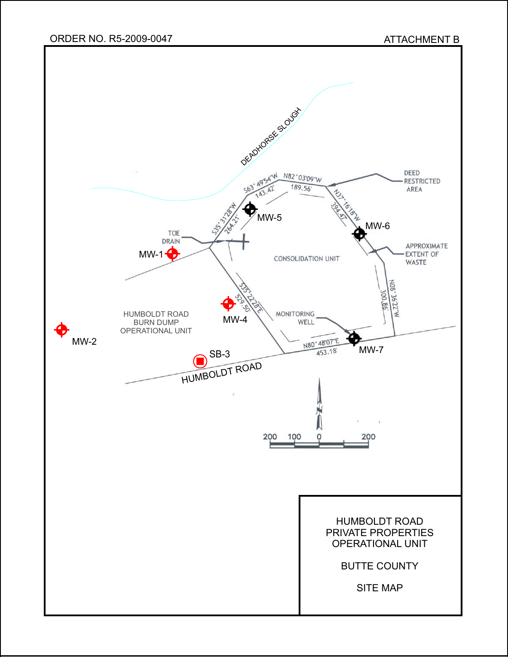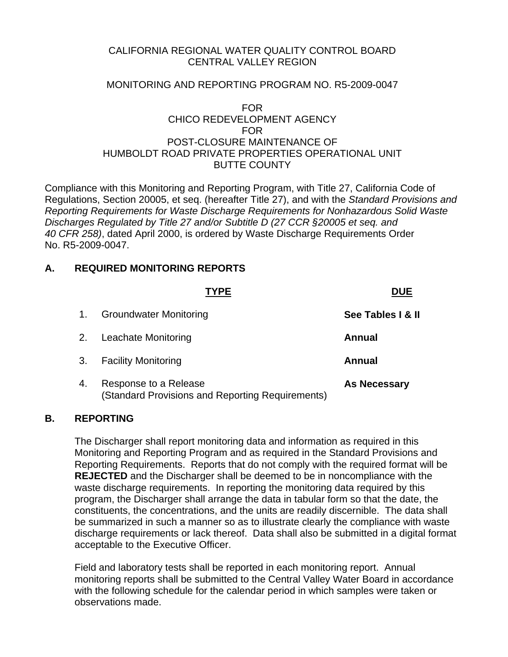### CALIFORNIA REGIONAL WATER QUALITY CONTROL BOARD CENTRAL VALLEY REGION

### MONITORING AND REPORTING PROGRAM NO. R5-2009-0047

#### FOR CHICO REDEVELOPMENT AGENCY FOR POST-CLOSURE MAINTENANCE OF HUMBOLDT ROAD PRIVATE PROPERTIES OPERATIONAL UNIT BUTTE COUNTY

Compliance with this Monitoring and Reporting Program, with Title 27, California Code of Regulations, Section 20005, et seq. (hereafter Title 27), and with the *Standard Provisions and Reporting Requirements for Waste Discharge Requirements for Nonhazardous Solid Waste Discharges Regulated by Title 27 and/or Subtitle D (27 CCR §20005 et seq. and 40 CFR 258)*, dated April 2000, is ordered by Waste Discharge Requirements Order No. R5-2009-0047.

### **A. REQUIRED MONITORING REPORTS**

|    | <b>YPE</b>                                                                | <b>DUE</b>          |
|----|---------------------------------------------------------------------------|---------------------|
| 1. | <b>Groundwater Monitoring</b>                                             | See Tables   & II   |
| 2. | Leachate Monitoring                                                       | <b>Annual</b>       |
| 3. | <b>Facility Monitoring</b>                                                | Annual              |
| 4. | Response to a Release<br>(Standard Provisions and Reporting Requirements) | <b>As Necessary</b> |

### **B. REPORTING**

 The Discharger shall report monitoring data and information as required in this Monitoring and Reporting Program and as required in the Standard Provisions and Reporting Requirements. Reports that do not comply with the required format will be **REJECTED** and the Discharger shall be deemed to be in noncompliance with the waste discharge requirements. In reporting the monitoring data required by this program, the Discharger shall arrange the data in tabular form so that the date, the constituents, the concentrations, and the units are readily discernible. The data shall be summarized in such a manner so as to illustrate clearly the compliance with waste discharge requirements or lack thereof. Data shall also be submitted in a digital format acceptable to the Executive Officer.

 Field and laboratory tests shall be reported in each monitoring report. Annual monitoring reports shall be submitted to the Central Valley Water Board in accordance with the following schedule for the calendar period in which samples were taken or observations made.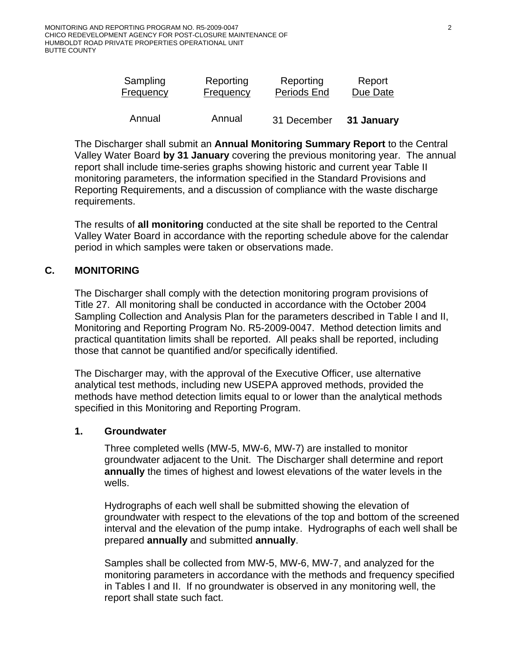| Sampling  | Reporting | Reporting   | Report     |
|-----------|-----------|-------------|------------|
| Frequency | Frequency | Periods End | Due Date   |
| Annual    | Annual    | 31 December | 31 January |

 The Discharger shall submit an **Annual Monitoring Summary Report** to the Central Valley Water Board **by 31 January** covering the previous monitoring year. The annual report shall include time-series graphs showing historic and current year Table II monitoring parameters, the information specified in the Standard Provisions and Reporting Requirements, and a discussion of compliance with the waste discharge requirements.

 The results of **all monitoring** conducted at the site shall be reported to the Central Valley Water Board in accordance with the reporting schedule above for the calendar period in which samples were taken or observations made.

# **C. MONITORING**

The Discharger shall comply with the detection monitoring program provisions of Title 27. All monitoring shall be conducted in accordance with the October 2004 Sampling Collection and Analysis Plan for the parameters described in Table I and II, Monitoring and Reporting Program No. R5-2009-0047. Method detection limits and practical quantitation limits shall be reported. All peaks shall be reported, including those that cannot be quantified and/or specifically identified.

The Discharger may, with the approval of the Executive Officer, use alternative analytical test methods, including new USEPA approved methods, provided the methods have method detection limits equal to or lower than the analytical methods specified in this Monitoring and Reporting Program.

#### **1. Groundwater**

Three completed wells (MW-5, MW-6, MW-7) are installed to monitor groundwater adjacent to the Unit. The Discharger shall determine and report **annually** the times of highest and lowest elevations of the water levels in the wells.

Hydrographs of each well shall be submitted showing the elevation of groundwater with respect to the elevations of the top and bottom of the screened interval and the elevation of the pump intake. Hydrographs of each well shall be prepared **annually** and submitted **annually**.

Samples shall be collected from MW-5, MW-6, MW-7, and analyzed for the monitoring parameters in accordance with the methods and frequency specified in Tables I and II. If no groundwater is observed in any monitoring well, the report shall state such fact.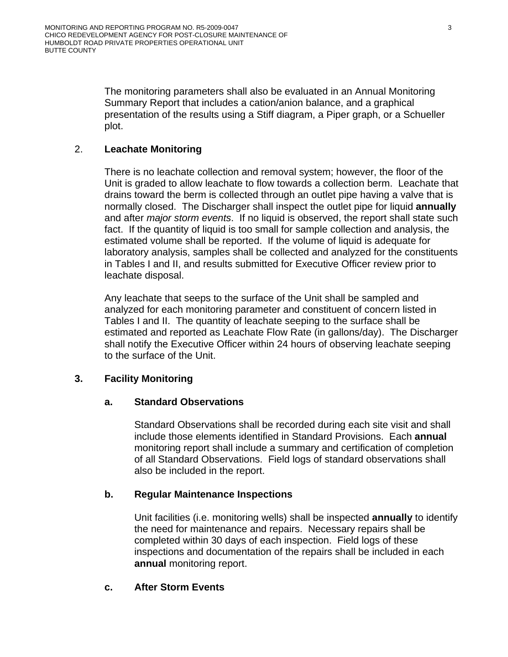The monitoring parameters shall also be evaluated in an Annual Monitoring Summary Report that includes a cation/anion balance, and a graphical presentation of the results using a Stiff diagram, a Piper graph, or a Schueller plot.

## 2. **Leachate Monitoring**

There is no leachate collection and removal system; however, the floor of the Unit is graded to allow leachate to flow towards a collection berm. Leachate that drains toward the berm is collected through an outlet pipe having a valve that is normally closed. The Discharger shall inspect the outlet pipe for liquid **annually**  and after *major storm events*. If no liquid is observed, the report shall state such fact. If the quantity of liquid is too small for sample collection and analysis, the estimated volume shall be reported. If the volume of liquid is adequate for laboratory analysis, samples shall be collected and analyzed for the constituents in Tables I and II, and results submitted for Executive Officer review prior to leachate disposal.

Any leachate that seeps to the surface of the Unit shall be sampled and analyzed for each monitoring parameter and constituent of concern listed in Tables I and II. The quantity of leachate seeping to the surface shall be estimated and reported as Leachate Flow Rate (in gallons/day). The Discharger shall notify the Executive Officer within 24 hours of observing leachate seeping to the surface of the Unit.

### **3. Facility Monitoring**

### **a. Standard Observations**

Standard Observations shall be recorded during each site visit and shall include those elements identified in Standard Provisions. Each **annual** monitoring report shall include a summary and certification of completion of all Standard Observations. Field logs of standard observations shall also be included in the report.

### **b. Regular Maintenance Inspections**

Unit facilities (i.e. monitoring wells) shall be inspected **annually** to identify the need for maintenance and repairs. Necessary repairs shall be completed within 30 days of each inspection. Field logs of these inspections and documentation of the repairs shall be included in each **annual** monitoring report.

### **c. After Storm Events**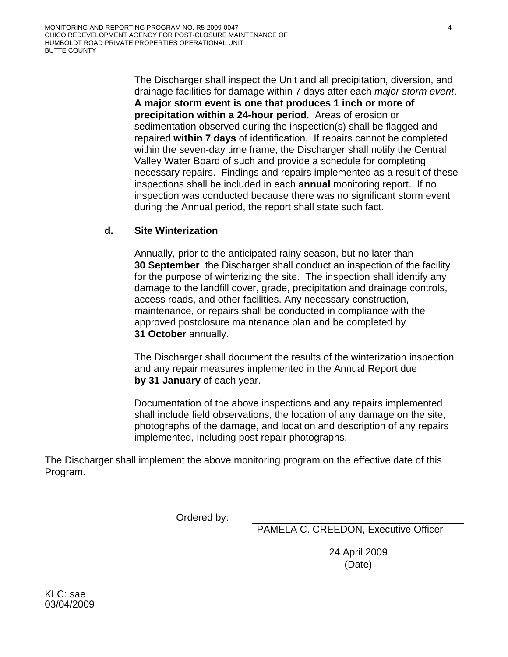The Discharger shall inspect the Unit and all precipitation, diversion, and drainage facilities for damage within 7 days after each *major storm event*. **A major storm event is one that produces 1 inch or more of precipitation within a 24-hour period**. Areas of erosion or sedimentation observed during the inspection(s) shall be flagged and repaired **within 7 days** of identification. If repairs cannot be completed within the seven-day time frame, the Discharger shall notify the Central Valley Water Board of such and provide a schedule for completing necessary repairs. Findings and repairs implemented as a result of these inspections shall be included in each **annual** monitoring report. If no inspection was conducted because there was no significant storm event during the Annual period, the report shall state such fact.

### **d. Site Winterization**

Annually, prior to the anticipated rainy season, but no later than **30 September**, the Discharger shall conduct an inspection of the facility for the purpose of winterizing the site. The inspection shall identify any damage to the landfill cover, grade, precipitation and drainage controls, access roads, and other facilities. Any necessary construction, maintenance, or repairs shall be conducted in compliance with the approved postclosure maintenance plan and be completed by **31 October** annually.

The Discharger shall document the results of the winterization inspection and any repair measures implemented in the Annual Report due **by 31 January** of each year.

Documentation of the above inspections and any repairs implemented shall include field observations, the location of any damage on the site, photographs of the damage, and location and description of any repairs implemented, including post-repair photographs.

The Discharger shall implement the above monitoring program on the effective date of this Program.

Ordered by:

PAMELA C. CREEDON, Executive Officer

 24 April 2009 (Date)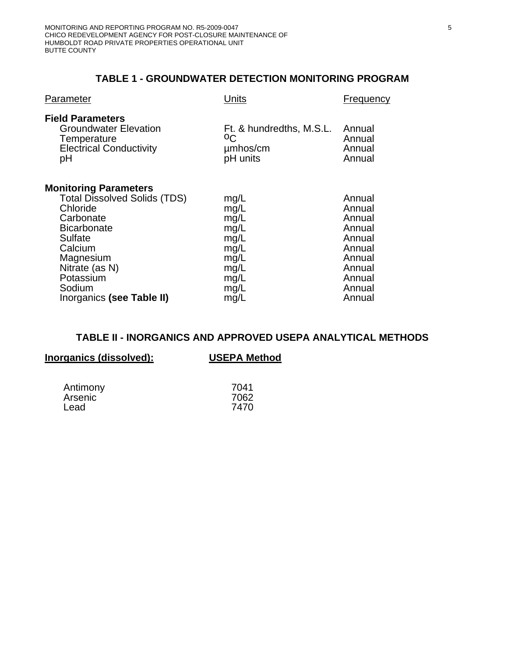### **TABLE 1 - GROUNDWATER DETECTION MONITORING PROGRAM**

| Parameter                                                                                                                                                                                                                   | Units                                                                                | Frequency                                                                                                  |
|-----------------------------------------------------------------------------------------------------------------------------------------------------------------------------------------------------------------------------|--------------------------------------------------------------------------------------|------------------------------------------------------------------------------------------------------------|
| <b>Field Parameters</b><br><b>Groundwater Elevation</b><br>Temperature<br><b>Electrical Conductivity</b><br>рH                                                                                                              | Ft. & hundredths, M.S.L.<br>οC<br>umhos/cm<br>pH units                               | Annual<br>Annual<br>Annual<br>Annual                                                                       |
| <b>Monitoring Parameters</b><br><b>Total Dissolved Solids (TDS)</b><br>Chloride<br>Carbonate<br><b>Bicarbonate</b><br>Sulfate<br>Calcium<br>Magnesium<br>Nitrate (as N)<br>Potassium<br>Sodium<br>Inorganics (see Table II) | mg/L<br>mg/L<br>mg/L<br>mg/L<br>mg/L<br>mg/L<br>mg/L<br>mg/L<br>mg/L<br>mg/L<br>mg/L | Annual<br>Annual<br>Annual<br>Annual<br>Annual<br>Annual<br>Annual<br>Annual<br>Annual<br>Annual<br>Annual |

# **TABLE II - INORGANICS AND APPROVED USEPA ANALYTICAL METHODS**

| Inorganics (dissolved):     | <b>USEPA Method</b>  |  |
|-----------------------------|----------------------|--|
| Antimony<br>Arsenic<br>Lead | 7041<br>7062<br>7470 |  |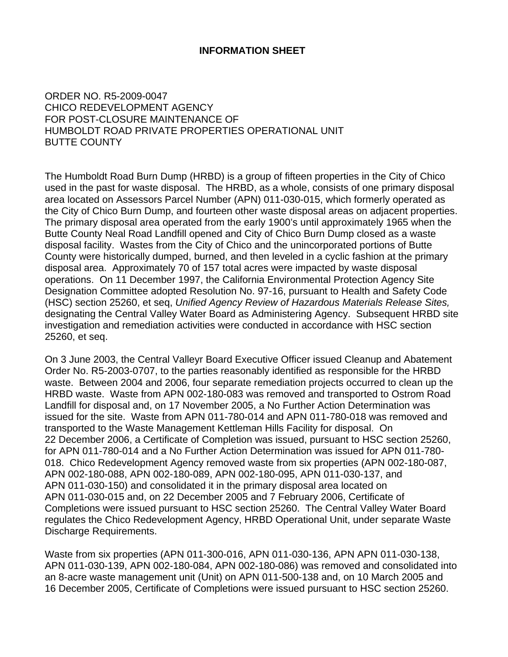#### **INFORMATION SHEET**

### ORDER NO. R5-2009-0047 CHICO REDEVELOPMENT AGENCY FOR POST-CLOSURE MAINTENANCE OF HUMBOLDT ROAD PRIVATE PROPERTIES OPERATIONAL UNIT BUTTE COUNTY

The Humboldt Road Burn Dump (HRBD) is a group of fifteen properties in the City of Chico used in the past for waste disposal. The HRBD, as a whole, consists of one primary disposal area located on Assessors Parcel Number (APN) 011-030-015, which formerly operated as the City of Chico Burn Dump, and fourteen other waste disposal areas on adjacent properties. The primary disposal area operated from the early 1900's until approximately 1965 when the Butte County Neal Road Landfill opened and City of Chico Burn Dump closed as a waste disposal facility. Wastes from the City of Chico and the unincorporated portions of Butte County were historically dumped, burned, and then leveled in a cyclic fashion at the primary disposal area. Approximately 70 of 157 total acres were impacted by waste disposal operations. On 11 December 1997, the California Environmental Protection Agency Site Designation Committee adopted Resolution No. 97-16, pursuant to Health and Safety Code (HSC) section 25260, et seq, *Unified Agency Review of Hazardous Materials Release Sites,*  designating the Central Valley Water Board as Administering Agency. Subsequent HRBD site investigation and remediation activities were conducted in accordance with HSC section 25260, et seq.

On 3 June 2003, the Central Valleyr Board Executive Officer issued Cleanup and Abatement Order No. R5-2003-0707, to the parties reasonably identified as responsible for the HRBD waste. Between 2004 and 2006, four separate remediation projects occurred to clean up the HRBD waste. Waste from APN 002-180-083 was removed and transported to Ostrom Road Landfill for disposal and, on 17 November 2005, a No Further Action Determination was issued for the site. Waste from APN 011-780-014 and APN 011-780-018 was removed and transported to the Waste Management Kettleman Hills Facility for disposal. On 22 December 2006, a Certificate of Completion was issued, pursuant to HSC section 25260, for APN 011-780-014 and a No Further Action Determination was issued for APN 011-780- 018. Chico Redevelopment Agency removed waste from six properties (APN 002-180-087, APN 002-180-088, APN 002-180-089, APN 002-180-095, APN 011-030-137, and APN 011-030-150) and consolidated it in the primary disposal area located on APN 011-030-015 and, on 22 December 2005 and 7 February 2006, Certificate of Completions were issued pursuant to HSC section 25260. The Central Valley Water Board regulates the Chico Redevelopment Agency, HRBD Operational Unit, under separate Waste Discharge Requirements.

Waste from six properties (APN 011-300-016, APN 011-030-136, APN APN 011-030-138, APN 011-030-139, APN 002-180-084, APN 002-180-086) was removed and consolidated into an 8-acre waste management unit (Unit) on APN 011-500-138 and, on 10 March 2005 and 16 December 2005, Certificate of Completions were issued pursuant to HSC section 25260.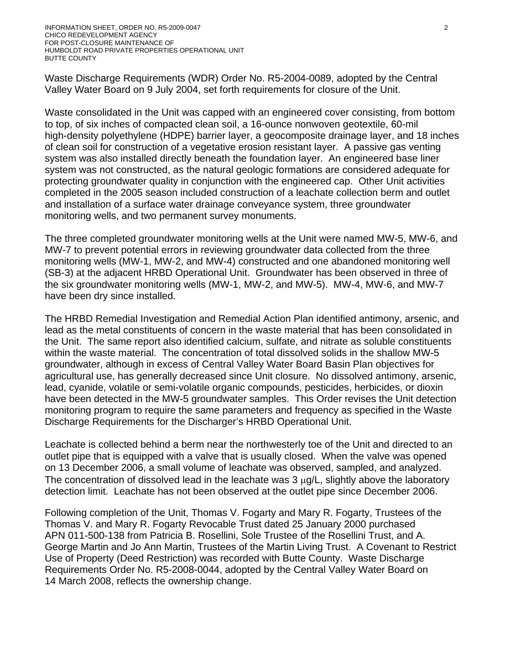Waste Discharge Requirements (WDR) Order No. R5-2004-0089, adopted by the Central Valley Water Board on 9 July 2004, set forth requirements for closure of the Unit.

Waste consolidated in the Unit was capped with an engineered cover consisting, from bottom to top, of six inches of compacted clean soil, a 16-ounce nonwoven geotextile, 60-mil high-density polyethylene (HDPE) barrier layer, a geocomposite drainage layer, and 18 inches of clean soil for construction of a vegetative erosion resistant layer. A passive gas venting system was also installed directly beneath the foundation layer. An engineered base liner system was not constructed, as the natural geologic formations are considered adequate for protecting groundwater quality in conjunction with the engineered cap. Other Unit activities completed in the 2005 season included construction of a leachate collection berm and outlet and installation of a surface water drainage conveyance system, three groundwater monitoring wells, and two permanent survey monuments.

The three completed groundwater monitoring wells at the Unit were named MW-5, MW-6, and MW-7 to prevent potential errors in reviewing groundwater data collected from the three monitoring wells (MW-1, MW-2, and MW-4) constructed and one abandoned monitoring well (SB-3) at the adjacent HRBD Operational Unit. Groundwater has been observed in three of the six groundwater monitoring wells (MW-1, MW-2, and MW-5). MW-4, MW-6, and MW-7 have been dry since installed.

The HRBD Remedial Investigation and Remedial Action Plan identified antimony, arsenic, and lead as the metal constituents of concern in the waste material that has been consolidated in the Unit. The same report also identified calcium, sulfate, and nitrate as soluble constituents within the waste material. The concentration of total dissolved solids in the shallow MW-5 groundwater, although in excess of Central Valley Water Board Basin Plan objectives for agricultural use, has generally decreased since Unit closure. No dissolved antimony, arsenic, lead, cyanide, volatile or semi-volatile organic compounds, pesticides, herbicides, or dioxin have been detected in the MW-5 groundwater samples. This Order revises the Unit detection monitoring program to require the same parameters and frequency as specified in the Waste Discharge Requirements for the Discharger's HRBD Operational Unit.

Leachate is collected behind a berm near the northwesterly toe of the Unit and directed to an outlet pipe that is equipped with a valve that is usually closed. When the valve was opened on 13 December 2006, a small volume of leachate was observed, sampled, and analyzed. The concentration of dissolved lead in the leachate was  $3 \mu g/L$ , slightly above the laboratory detection limit. Leachate has not been observed at the outlet pipe since December 2006.

Following completion of the Unit, Thomas V. Fogarty and Mary R. Fogarty, Trustees of the Thomas V. and Mary R. Fogarty Revocable Trust dated 25 January 2000 purchased APN 011-500-138 from Patricia B. Rosellini, Sole Trustee of the Rosellini Trust, and A. George Martin and Jo Ann Martin, Trustees of the Martin Living Trust. A Covenant to Restrict Use of Property (Deed Restriction) was recorded with Butte County. Waste Discharge Requirements Order No. R5-2008-0044, adopted by the Central Valley Water Board on 14 March 2008, reflects the ownership change.